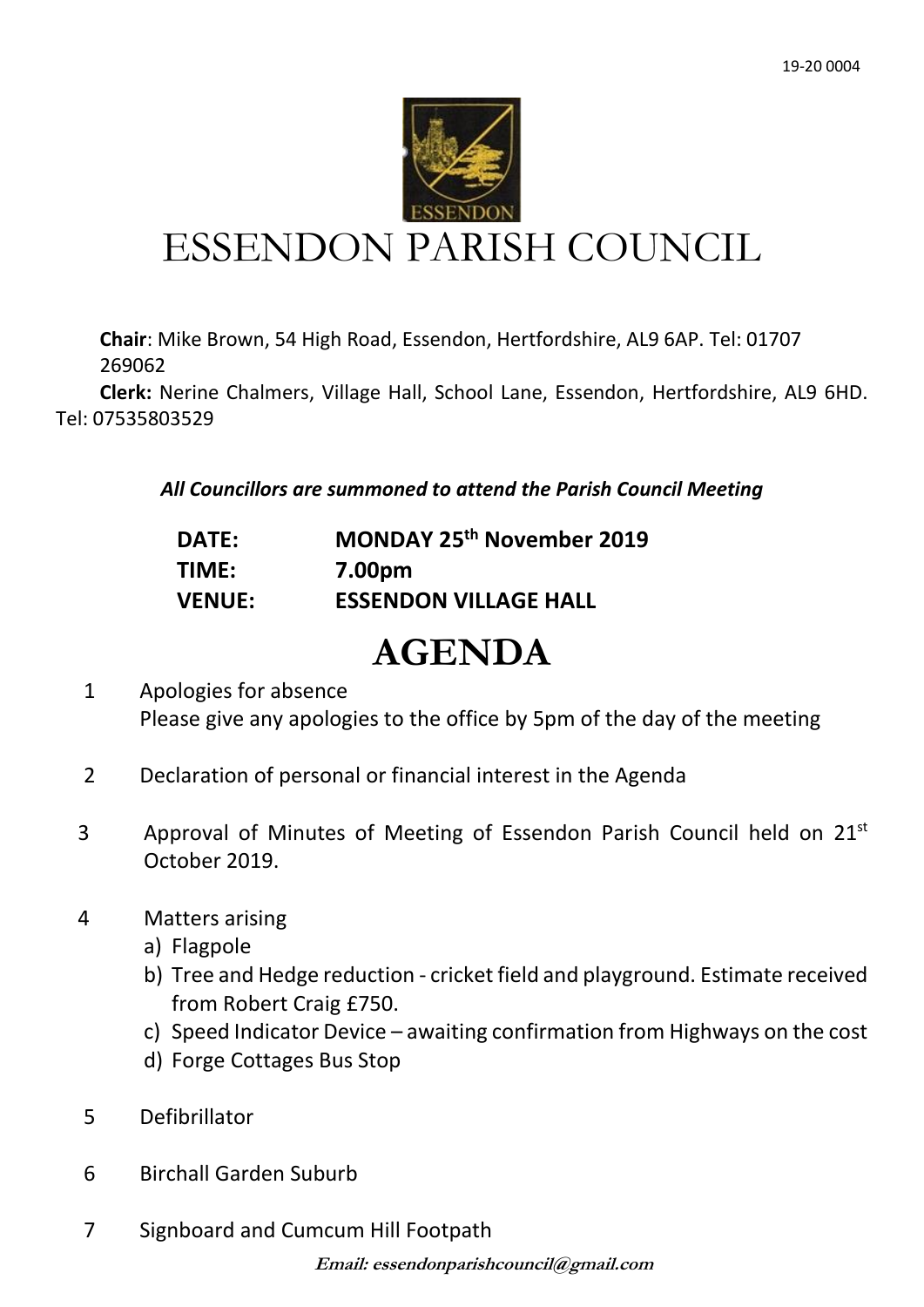

# ESSENDON PARISH COUNCIL

**Chair**: Mike Brown, 54 High Road, Essendon, Hertfordshire, AL9 6AP. Tel: 01707 269062

 **Clerk:** Nerine Chalmers, Village Hall, School Lane, Essendon, Hertfordshire, AL9 6HD. Tel: 07535803529

*All Councillors are summoned to attend the Parish Council Meeting*

| <b>DATE:</b>  | MONDAY 25th November 2019    |
|---------------|------------------------------|
| TIME:         | 7.00pm                       |
| <b>VENUE:</b> | <b>ESSENDON VILLAGE HALL</b> |

# **AGENDA**

- 1 Apologies for absence Please give any apologies to the office by 5pm of the day of the meeting
- 2 Declaration of personal or financial interest in the Agenda
- 3 Approval of Minutes of Meeting of Essendon Parish Council held on 21<sup>st</sup> October 2019.
- 4 Matters arising
	- a) Flagpole
	- b) Tree and Hedge reduction cricket field and playground. Estimate received from Robert Craig £750.
	- c) Speed Indicator Device awaiting confirmation from Highways on the cost
	- d) Forge Cottages Bus Stop
- 5 Defibrillator
- 6 Birchall Garden Suburb
- 7 Signboard and Cumcum Hill Footpath